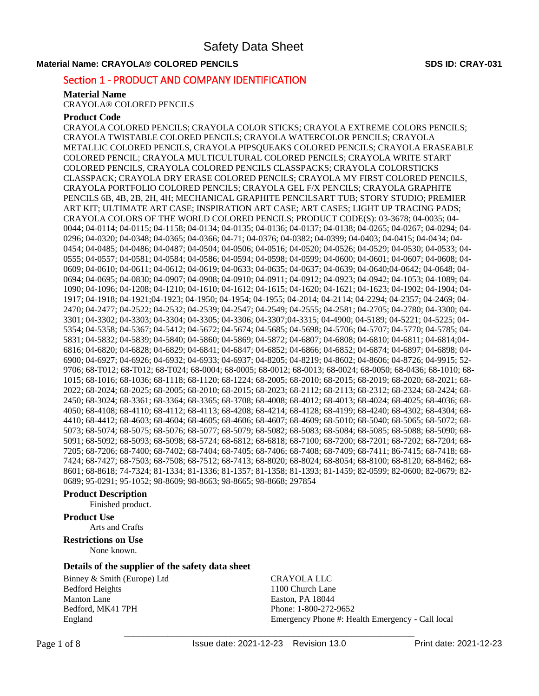## **Material Name: CRAYOLA® COLORED PENCILS SDS ID: CRAY-031**

## Section 1 - PRODUCT AND COMPANY IDENTIFICATION

#### **Material Name**

CRAYOLA® COLORED PENCILS

## **Product Code**

CRAYOLA COLORED PENCILS; CRAYOLA COLOR STICKS; CRAYOLA EXTREME COLORS PENCILS; CRAYOLA TWISTABLE COLORED PENCILS; CRAYOLA WATERCOLOR PENCILS; CRAYOLA METALLIC COLORED PENCILS, CRAYOLA PIPSQUEAKS COLORED PENCILS; CRAYOLA ERASEABLE COLORED PENCIL; CRAYOLA MULTICULTURAL COLORED PENCILS; CRAYOLA WRITE START COLORED PENCILS, CRAYOLA COLORED PENCILS CLASSPACKS; CRAYOLA COLORSTICKS CLASSPACK; CRAYOLA DRY ERASE COLORED PENCILS; CRAYOLA MY FIRST COLORED PENCILS, CRAYOLA PORTFOLIO COLORED PENCILS; CRAYOLA GEL F/X PENCILS; CRAYOLA GRAPHITE PENCILS 6B, 4B, 2B, 2H, 4H; MECHANICAL GRAPHITE PENCILSART TUB; STORY STUDIO; PREMIER ART KIT; ULTIMATE ART CASE; INSPIRATION ART CASE; ART CASES; LIGHT UP TRACING PADS; CRAYOLA COLORS OF THE WORLD COLORED PENCILS; PRODUCT CODE(S): 03-3678; 04-0035; 04- 0044; 04-0114; 04-0115; 04-1158; 04-0134; 04-0135; 04-0136; 04-0137; 04-0138; 04-0265; 04-0267; 04-0294; 04- 0296; 04-0320; 04-0348; 04-0365; 04-0366; 04-71; 04-0376; 04-0382; 04-0399; 04-0403; 04-0415; 04-0434; 04- 0454; 04-0485; 04-0486; 04-0487; 04-0504; 04-0506; 04-0516; 04-0520; 04-0526; 04-0529; 04-0530; 04-0533; 04- 0555; 04-0557; 04-0581; 04-0584; 04-0586; 04-0594; 04-0598; 04-0599; 04-0600; 04-0601; 04-0607; 04-0608; 04- 0609; 04-0610; 04-0611; 04-0612; 04-0619; 04-0633; 04-0635; 04-0637; 04-0639; 04-0640;04-0642; 04-0648; 04- 0694; 04-0695; 04-0830; 04-0907; 04-0908; 04-0910; 04-0911; 04-0912; 04-0923; 04-0942; 04-1053; 04-1089; 04- 1090; 04-1096; 04-1208; 04-1210; 04-1610; 04-1612; 04-1615; 04-1620; 04-1621; 04-1623; 04-1902; 04-1904; 04- 1917; 04-1918; 04-1921;04-1923; 04-1950; 04-1954; 04-1955; 04-2014; 04-2114; 04-2294; 04-2357; 04-2469; 04- 2470; 04-2477; 04-2522; 04-2532; 04-2539; 04-2547; 04-2549; 04-2555; 04-2581; 04-2705; 04-2780; 04-3300; 04- 3301; 04-3302; 04-3303; 04-3304; 04-3305; 04-3306; 04-3307;04-3315; 04-4900; 04-5189; 04-5221; 04-5225; 04- 5354; 04-5358; 04-5367; 04-5412; 04-5672; 04-5674; 04-5685; 04-5698; 04-5706; 04-5707; 04-5770; 04-5785; 04- 5831; 04-5832; 04-5839; 04-5840; 04-5860; 04-5869; 04-5872; 04-6807; 04-6808; 04-6810; 04-6811; 04-6814;04- 6816; 04-6820; 04-6828; 04-6829; 04-6841; 04-6847; 04-6852; 04-6866; 04-6852; 04-6874; 04-6897; 04-6898; 04- 6900; 04-6927; 04-6926; 04-6932; 04-6933; 04-6937; 04-8205; 04-8219; 04-8602; 04-8606; 04-8726; 04-9915; 52- 9706; 68-T012; 68-T012; 68-T024; 68-0004; 68-0005; 68-0012; 68-0013; 68-0024; 68-0050; 68-0436; 68-1010; 68- 1015; 68-1016; 68-1036; 68-1118; 68-1120; 68-1224; 68-2005; 68-2010; 68-2015; 68-2019; 68-2020; 68-2021; 68- 2022; 68-2024; 68-2025; 68-2005; 68-2010; 68-2015; 68-2023; 68-2112; 68-2113; 68-2312; 68-2324; 68-2424; 68- 2450; 68-3024; 68-3361; 68-3364; 68-3365; 68-3708; 68-4008; 68-4012; 68-4013; 68-4024; 68-4025; 68-4036; 68- 4050; 68-4108; 68-4110; 68-4112; 68-4113; 68-4208; 68-4214; 68-4128; 68-4199; 68-4240; 68-4302; 68-4304; 68- 4410; 68-4412; 68-4603; 68-4604; 68-4605; 68-4606; 68-4607; 68-4609; 68-5010; 68-5040; 68-5065; 68-5072; 68- 5073; 68-5074; 68-5075; 68-5076; 68-5077; 68-5079; 68-5082; 68-5083; 68-5084; 68-5085; 68-5088; 68-5090; 68- 5091; 68-5092; 68-5093; 68-5098; 68-5724; 68-6812; 68-6818; 68-7100; 68-7200; 68-7201; 68-7202; 68-7204; 68- 7205; 68-7206; 68-7400; 68-7402; 68-7404; 68-7405; 68-7406; 68-7408; 68-7409; 68-7411; 86-7415; 68-7418; 68- 7424; 68-7427; 68-7503; 68-7508; 68-7512; 68-7413; 68-8020; 68-8024; 68-8054; 68-8100; 68-8120; 68-8462; 68- 8601; 68-8618; 74-7324; 81-1334; 81-1336; 81-1357; 81-1358; 81-1393; 81-1459; 82-0599; 82-0600; 82-0679; 82- 0689; 95-0291; 95-1052; 98-8609; 98-8663; 98-8665; 98-8668; 297854

## **Product Description**

Finished product.

**Product Use**

Arts and Crafts

#### **Restrictions on Use**

None known.

## **Details of the supplier of the safety data sheet**

Binney & Smith (Europe) Ltd Bedford Heights Manton Lane Bedford, MK41 7PH England

CRAYOLA LLC 1100 Church Lane Easton, PA 18044 Phone: 1-800-272-9652 Emergency Phone #: Health Emergency - Call local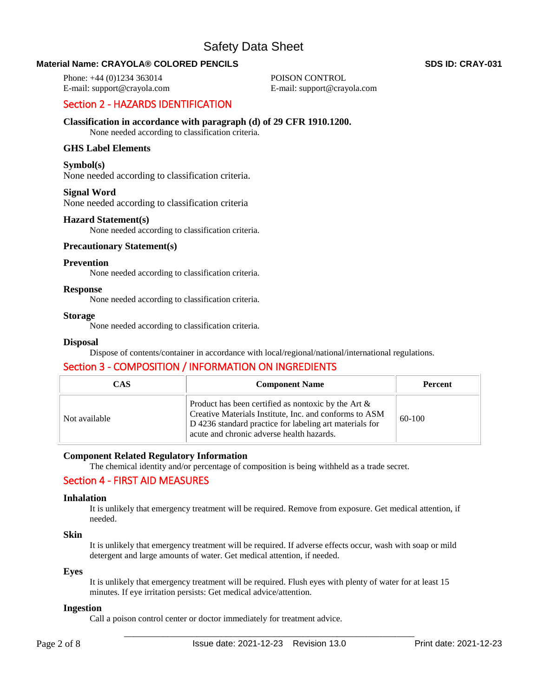## **Material Name: CRAYOLA® COLORED PENCILS SDS ID: CRAY-031**

Phone: +44 (0)1234 363014 E-mail: support@crayola.com POISON CONTROL E-mail: support@crayola.com

## Section 2 - HAZARDS IDENTIFICATION

## **Classification in accordance with paragraph (d) of 29 CFR 1910.1200.**

None needed according to classification criteria.

## **GHS Label Elements**

**Symbol(s)** 

None needed according to classification criteria.

## **Signal Word**

None needed according to classification criteria

## **Hazard Statement(s)**

None needed according to classification criteria.

## **Precautionary Statement(s)**

## **Prevention**

None needed according to classification criteria.

## **Response**

None needed according to classification criteria.

#### **Storage**

None needed according to classification criteria.

#### **Disposal**

Dispose of contents/container in accordance with local/regional/national/international regulations.

## Section 3 - COMPOSITION / INFORMATION ON INGREDIENTS

| CAS           | <b>Component Name</b>                                                                                                                                                                                                    | <b>Percent</b> |
|---------------|--------------------------------------------------------------------------------------------------------------------------------------------------------------------------------------------------------------------------|----------------|
| Not available | Product has been certified as nontoxic by the Art $\&$<br>Creative Materials Institute, Inc. and conforms to ASM<br>D 4236 standard practice for labeling art materials for<br>acute and chronic adverse health hazards. | $60-100$       |

## **Component Related Regulatory Information**

The chemical identity and/or percentage of composition is being withheld as a trade secret.

## Section 4 - FIRST AID MEASURES

## **Inhalation**

It is unlikely that emergency treatment will be required. Remove from exposure. Get medical attention, if needed.

## **Skin**

It is unlikely that emergency treatment will be required. If adverse effects occur, wash with soap or mild detergent and large amounts of water. Get medical attention, if needed.

## **Eyes**

It is unlikely that emergency treatment will be required. Flush eyes with plenty of water for at least 15 minutes. If eye irritation persists: Get medical advice/attention.

## **Ingestion**

Call a poison control center or doctor immediately for treatment advice.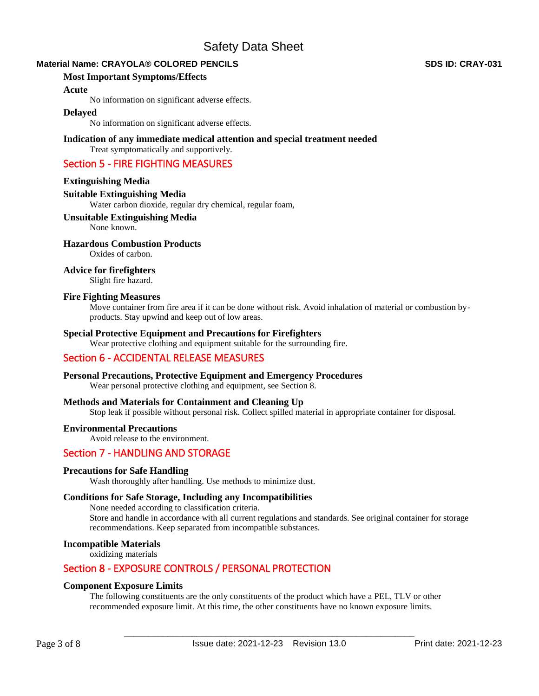## **Material Name: CRAYOLA® COLORED PENCILS SDS ID: CRAY-031**

## **Most Important Symptoms/Effects**

## **Acute**

No information on significant adverse effects.

## **Delayed**

No information on significant adverse effects.

**Indication of any immediate medical attention and special treatment needed**  Treat symptomatically and supportively.

## Section 5 - FIRE FIGHTING MEASURES

## **Extinguishing Media**

## **Suitable Extinguishing Media**

Water carbon dioxide, regular dry chemical, regular foam,

## **Unsuitable Extinguishing Media**

None known.

## **Hazardous Combustion Products**

Oxides of carbon.

## **Advice for firefighters**

Slight fire hazard.

## **Fire Fighting Measures**

Move container from fire area if it can be done without risk. Avoid inhalation of material or combustion byproducts. Stay upwind and keep out of low areas.

## **Special Protective Equipment and Precautions for Firefighters**

Wear protective clothing and equipment suitable for the surrounding fire.

## Section 6 - ACCIDENTAL RELEASE MEASURES

## **Personal Precautions, Protective Equipment and Emergency Procedures**

Wear personal protective clothing and equipment, see Section 8.

## **Methods and Materials for Containment and Cleaning Up**

Stop leak if possible without personal risk. Collect spilled material in appropriate container for disposal.

## **Environmental Precautions**

Avoid release to the environment.

## Section 7 - HANDLING AND STORAGE

## **Precautions for Safe Handling**

Wash thoroughly after handling. Use methods to minimize dust.

## **Conditions for Safe Storage, Including any Incompatibilities**

None needed according to classification criteria. Store and handle in accordance with all current regulations and standards. See original container for storage recommendations. Keep separated from incompatible substances.

## **Incompatible Materials**

oxidizing materials

## Section 8 - EXPOSURE CONTROLS / PERSONAL PROTECTION

## **Component Exposure Limits**

The following constituents are the only constituents of the product which have a PEL, TLV or other recommended exposure limit. At this time, the other constituents have no known exposure limits.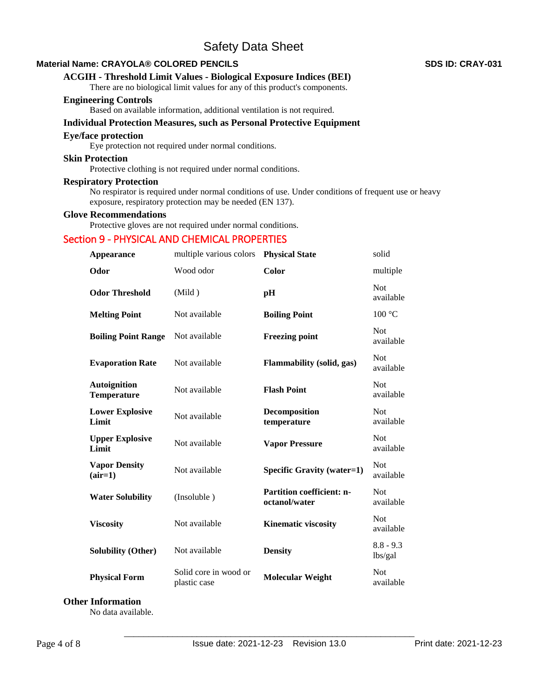## **Material Name: CRAYOLA® COLORED PENCILS SDS ID: CRAY-031**

#### **ACGIH - Threshold Limit Values - Biological Exposure Indices (BEI)**

There are no biological limit values for any of this product's components.

#### **Engineering Controls**

Based on available information, additional ventilation is not required.

## **Individual Protection Measures, such as Personal Protective Equipment**

#### **Eye/face protection**

Eye protection not required under normal conditions.

## **Skin Protection**

Protective clothing is not required under normal conditions.

#### **Respiratory Protection**

No respirator is required under normal conditions of use. Under conditions of frequent use or heavy exposure, respiratory protection may be needed (EN 137).

#### **Glove Recommendations**

Protective gloves are not required under normal conditions.

## Section 9 - PHYSICAL AND CHEMICAL PROPERTIES

| <b>Appearance</b>                         | multiple various colors               | <b>Physical State</b>                             | solid                   |
|-------------------------------------------|---------------------------------------|---------------------------------------------------|-------------------------|
| Odor                                      | Wood odor                             | Color                                             | multiple                |
| <b>Odor Threshold</b>                     | (Mild)                                | pH                                                | <b>Not</b><br>available |
| <b>Melting Point</b>                      | Not available                         | <b>Boiling Point</b>                              | 100 °C                  |
| <b>Boiling Point Range</b>                | Not available                         | <b>Freezing point</b>                             | <b>Not</b><br>available |
| <b>Evaporation Rate</b>                   | Not available                         | Flammability (solid, gas)                         | <b>Not</b><br>available |
| <b>Autoignition</b><br><b>Temperature</b> | Not available                         | <b>Flash Point</b>                                | <b>Not</b><br>available |
| <b>Lower Explosive</b><br>Limit           | Not available                         | <b>Decomposition</b><br>temperature               | <b>Not</b><br>available |
| <b>Upper Explosive</b><br>Limit           | Not available                         | <b>Vapor Pressure</b>                             | <b>Not</b><br>available |
| <b>Vapor Density</b><br>$(air=1)$         | Not available                         | <b>Specific Gravity (water=1)</b>                 | <b>Not</b><br>available |
| <b>Water Solubility</b>                   | (Insoluble)                           | <b>Partition coefficient: n-</b><br>octanol/water | <b>Not</b><br>available |
| <b>Viscosity</b>                          | Not available                         | <b>Kinematic viscosity</b>                        | <b>Not</b><br>available |
| <b>Solubility (Other)</b>                 | Not available                         | <b>Density</b>                                    | $8.8 - 9.3$<br>lbs/gal  |
| <b>Physical Form</b>                      | Solid core in wood or<br>plastic case | <b>Molecular Weight</b>                           | <b>Not</b><br>available |

#### **Other Information**

No data available.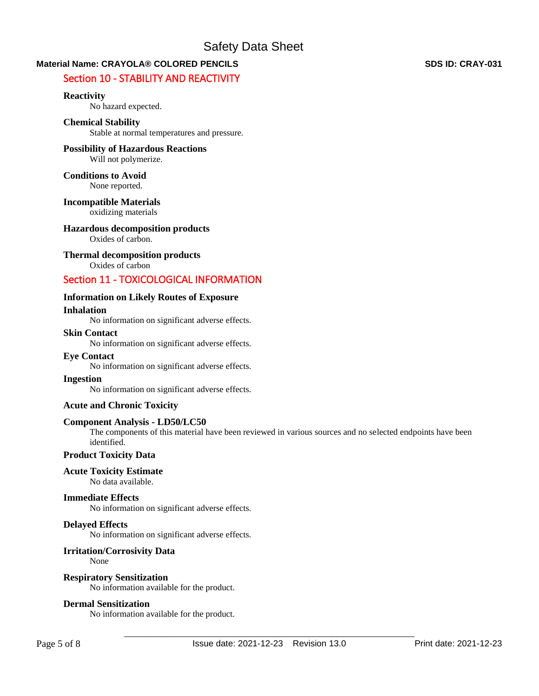## **Material Name: CRAYOLA® COLORED PENCILS SDS ID: CRAY-031**

## Section 10 - STABILITY AND REACTIVITY

## **Reactivity**

No hazard expected.

## **Chemical Stability**

Stable at normal temperatures and pressure.

#### **Possibility of Hazardous Reactions** Will not polymerize.

## **Conditions to Avoid**

None reported.

## **Incompatible Materials**

oxidizing materials

## **Hazardous decomposition products**

Oxides of carbon.

## **Thermal decomposition products**

Oxides of carbon

## Section 11 - TOXICOLOGICAL INFORMATION

## **Information on Likely Routes of Exposure**

## **Inhalation**

No information on significant adverse effects.

#### **Skin Contact**

No information on significant adverse effects.

## **Eye Contact**

No information on significant adverse effects.

#### **Ingestion**

No information on significant adverse effects.

## **Acute and Chronic Toxicity**

## **Component Analysis - LD50/LC50**

The components of this material have been reviewed in various sources and no selected endpoints have been identified.

## **Product Toxicity Data**

## **Acute Toxicity Estimate**

No data available.

## **Immediate Effects**

No information on significant adverse effects.

## **Delayed Effects**

No information on significant adverse effects.

## **Irritation/Corrosivity Data**

None

## **Respiratory Sensitization**

No information available for the product.

## **Dermal Sensitization**

No information available for the product.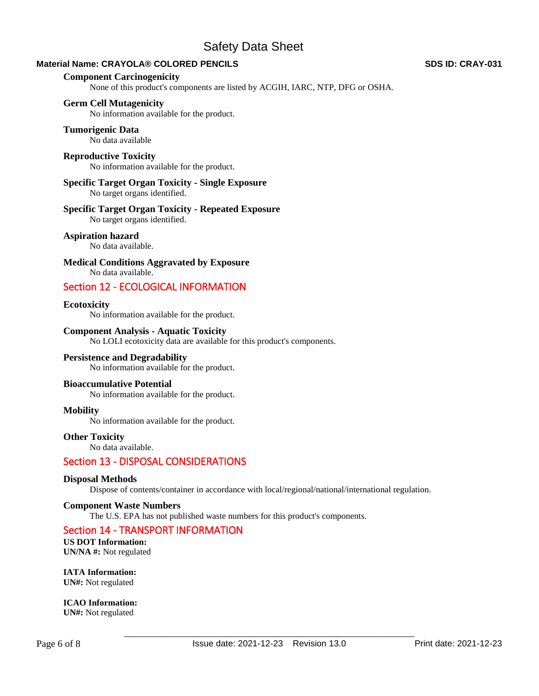## **Material Name: CRAYOLA® COLORED PENCILS SDS ID: CRAY-031**

## **Component Carcinogenicity**

None of this product's components are listed by ACGIH, IARC, NTP, DFG or OSHA.

## **Germ Cell Mutagenicity**

No information available for the product.

## **Tumorigenic Data**

No data available

## **Reproductive Toxicity**

No information available for the product.

## **Specific Target Organ Toxicity - Single Exposure**

No target organs identified.

## **Specific Target Organ Toxicity - Repeated Exposure**

No target organs identified.

## **Aspiration hazard**

No data available.

## **Medical Conditions Aggravated by Exposure**

No data available.

## Section 12 - ECOLOGICAL INFORMATION

## **Ecotoxicity**

No information available for the product.

## **Component Analysis - Aquatic Toxicity**

No LOLI ecotoxicity data are available for this product's components.

## **Persistence and Degradability**

No information available for the product.

## **Bioaccumulative Potential**

No information available for the product.

## **Mobility**

No information available for the product.

**Other Toxicity**

No data available.

## Section 13 - DISPOSAL CONSIDERATIONS

## **Disposal Methods**

Dispose of contents/container in accordance with local/regional/national/international regulation.

#### **Component Waste Numbers**

The U.S. EPA has not published waste numbers for this product's components.

## Section 14 - TRANSPORT INFORMATION

**US DOT Information: UN/NA #:** Not regulated

**IATA Information: UN#:** Not regulated

**ICAO Information: UN#:** Not regulated

Page 6 of 8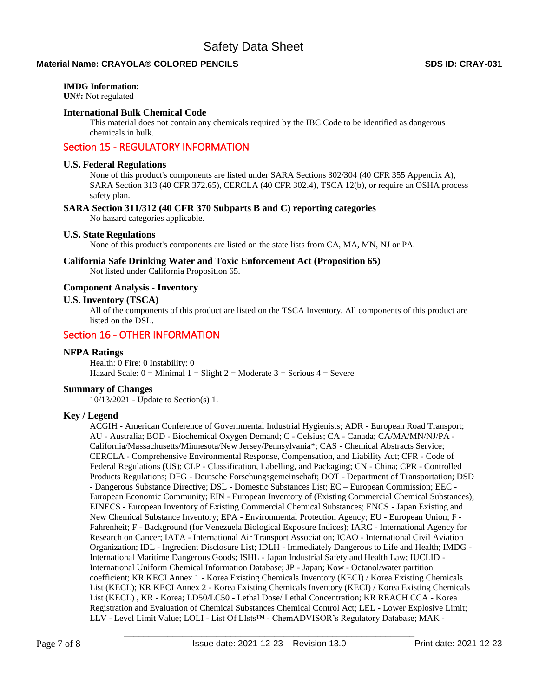## **Material Name: CRAYOLA® COLORED PENCILS SDS ID: CRAY-031**

## **IMDG Information:**

**UN#:** Not regulated

## **International Bulk Chemical Code**

This material does not contain any chemicals required by the IBC Code to be identified as dangerous chemicals in bulk.

## Section 15 - REGULATORY INFORMATION

#### **U.S. Federal Regulations**

None of this product's components are listed under SARA Sections 302/304 (40 CFR 355 Appendix A), SARA Section 313 (40 CFR 372.65), CERCLA (40 CFR 302.4), TSCA 12(b), or require an OSHA process safety plan.

## **SARA Section 311/312 (40 CFR 370 Subparts B and C) reporting categories**

No hazard categories applicable.

## **U.S. State Regulations**

None of this product's components are listed on the state lists from CA, MA, MN, NJ or PA.

## **California Safe Drinking Water and Toxic Enforcement Act (Proposition 65)**

Not listed under California Proposition 65.

## **Component Analysis - Inventory**

#### **U.S. Inventory (TSCA)**

All of the components of this product are listed on the TSCA Inventory. All components of this product are listed on the DSL.

## Section 16 - OTHER INFORMATION

## **NFPA Ratings**

Health: 0 Fire: 0 Instability: 0 Hazard Scale:  $0 =$  Minimal  $1 =$  Slight  $2 =$  Moderate  $3 =$  Serious  $4 =$  Severe

## **Summary of Changes**

10/13/2021 - Update to Section(s) 1.

## **Key / Legend**

ACGIH - American Conference of Governmental Industrial Hygienists; ADR - European Road Transport; AU - Australia; BOD - Biochemical Oxygen Demand; C - Celsius; CA - Canada; CA/MA/MN/NJ/PA - California/Massachusetts/Minnesota/New Jersey/Pennsylvania\*; CAS - Chemical Abstracts Service; CERCLA - Comprehensive Environmental Response, Compensation, and Liability Act; CFR - Code of Federal Regulations (US); CLP - Classification, Labelling, and Packaging; CN - China; CPR - Controlled Products Regulations; DFG - Deutsche Forschungsgemeinschaft; DOT - Department of Transportation; DSD - Dangerous Substance Directive; DSL - Domestic Substances List; EC – European Commission; EEC - European Economic Community; EIN - European Inventory of (Existing Commercial Chemical Substances); EINECS - European Inventory of Existing Commercial Chemical Substances; ENCS - Japan Existing and New Chemical Substance Inventory; EPA - Environmental Protection Agency; EU - European Union; F - Fahrenheit; F - Background (for Venezuela Biological Exposure Indices); IARC - International Agency for Research on Cancer; IATA - International Air Transport Association; ICAO - International Civil Aviation Organization; IDL - Ingredient Disclosure List; IDLH - Immediately Dangerous to Life and Health; IMDG - International Maritime Dangerous Goods; ISHL - Japan Industrial Safety and Health Law; IUCLID - International Uniform Chemical Information Database; JP - Japan; Kow - Octanol/water partition coefficient; KR KECI Annex 1 - Korea Existing Chemicals Inventory (KECI) / Korea Existing Chemicals List (KECL); KR KECI Annex 2 - Korea Existing Chemicals Inventory (KECI) / Korea Existing Chemicals List (KECL) , KR - Korea; LD50/LC50 - Lethal Dose/ Lethal Concentration; KR REACH CCA - Korea Registration and Evaluation of Chemical Substances Chemical Control Act; LEL - Lower Explosive Limit; LLV - Level Limit Value; LOLI - List Of LIsts™ - ChemADVISOR's Regulatory Database; MAK -